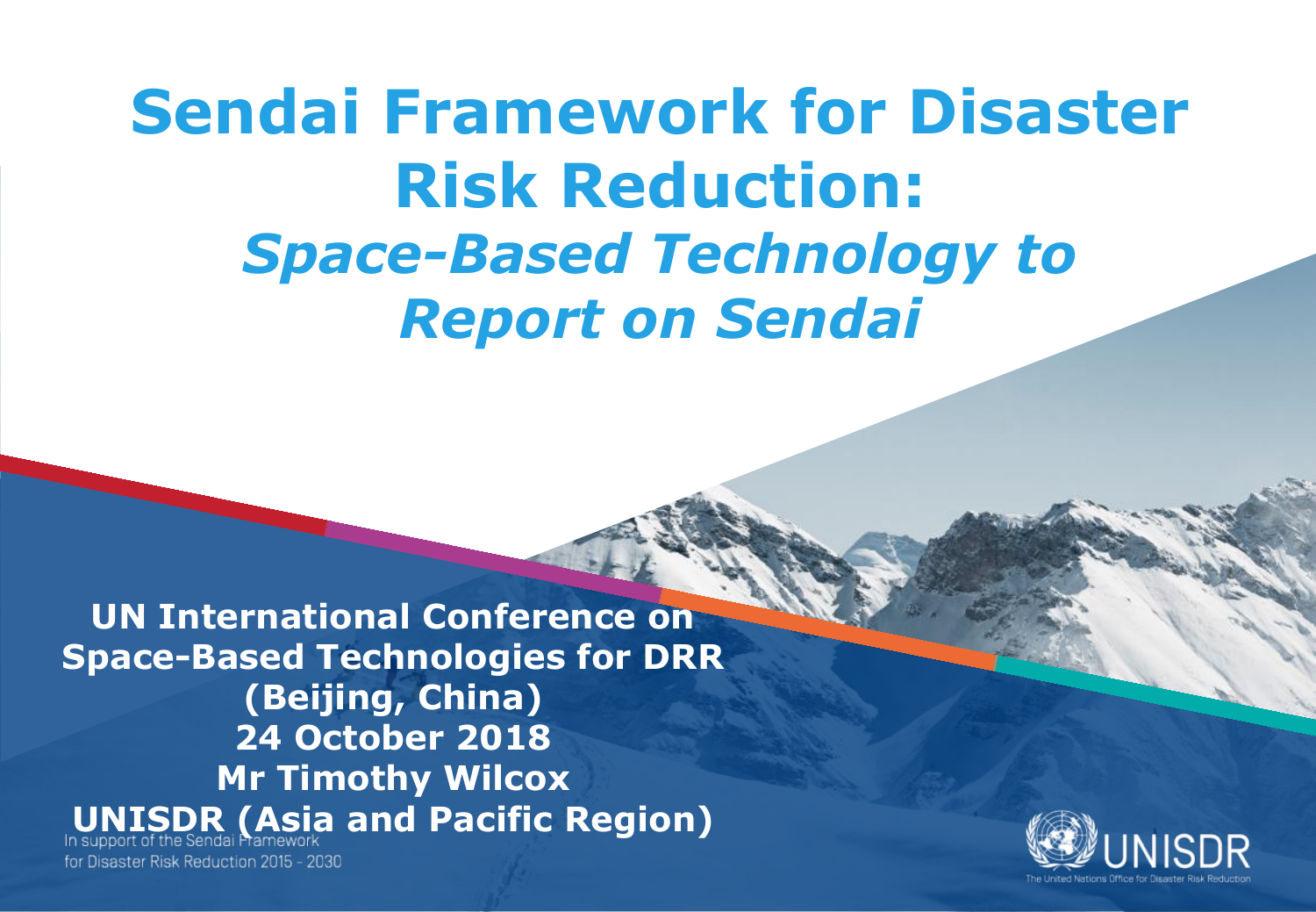### **Sendai Framework for Disaster Risk Reduction:** *Space-Based Technology to Report on Sendai*

**UN International Conference on Space-Based Technologies for DRR (Beijing, China) 24 October 2018 Mr Timothy Wilcox ISDR (Asia and Pacific Region)** 

for Disaster Risk Reduction 2015 - 2030

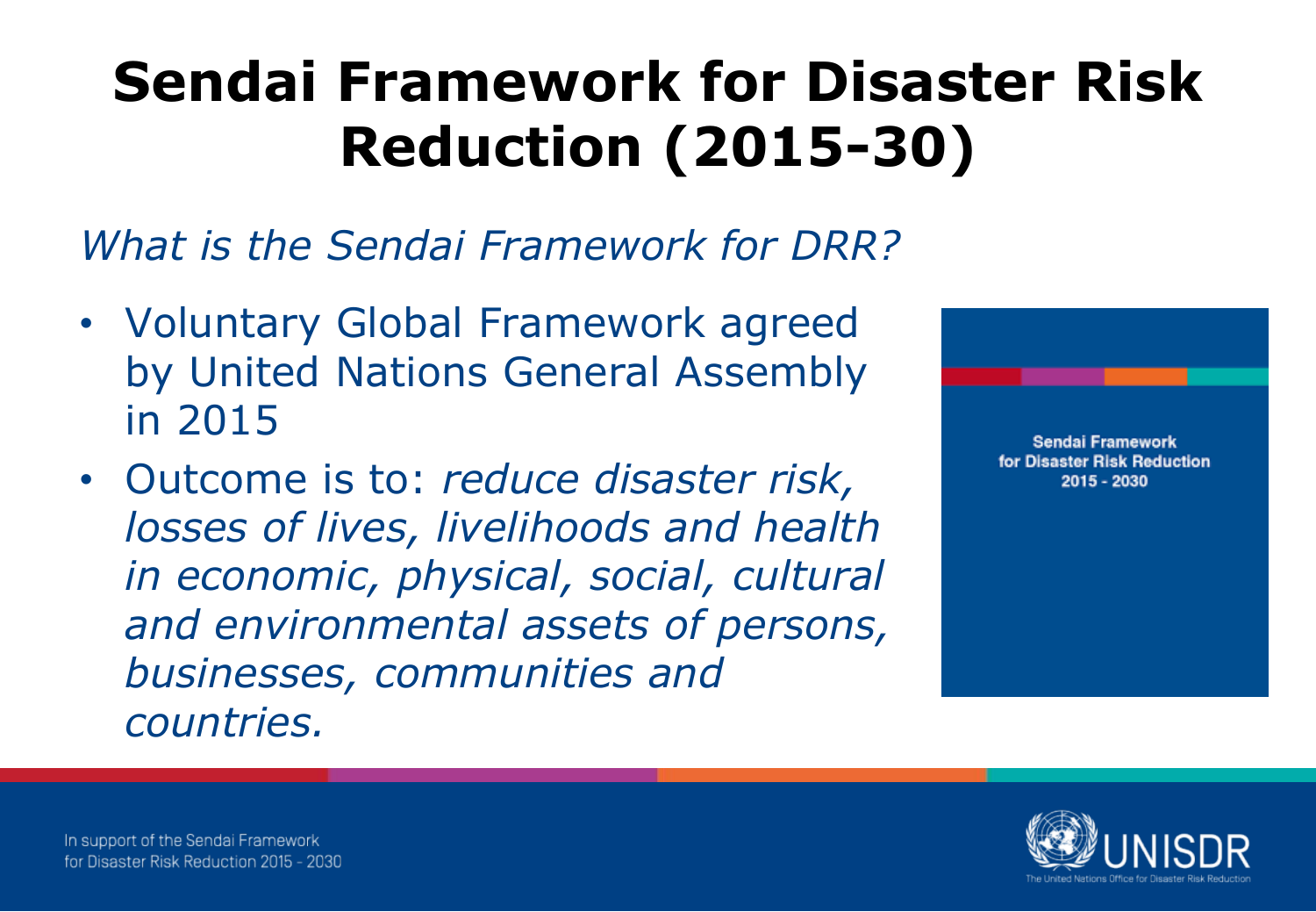*What is the Sendai Framework for DRR?*

- Voluntary Global Framework agreed by United Nations General Assembly in 2015
- Outcome is to: *reduce disaster risk, losses of lives, livelihoods and health in economic, physical, social, cultural and environmental assets of persons, businesses, communities and countries.*



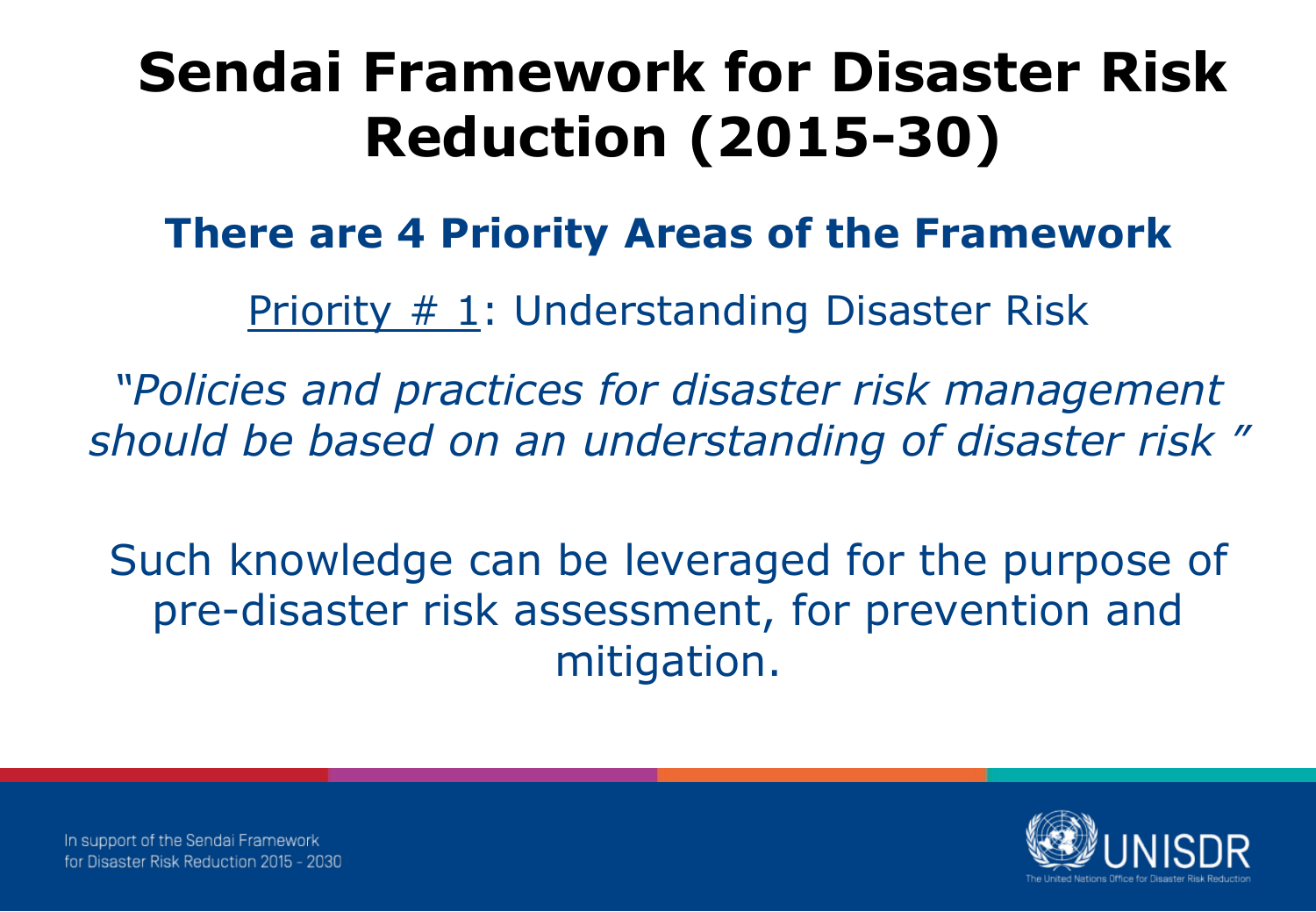### **There are 4 Priority Areas of the Framework**

Priority # 1: Understanding Disaster Risk

*"Policies and practices for disaster risk management should be based on an understanding of disaster risk "*

Such knowledge can be leveraged for the purpose of pre-disaster risk assessment, for prevention and mitigation.

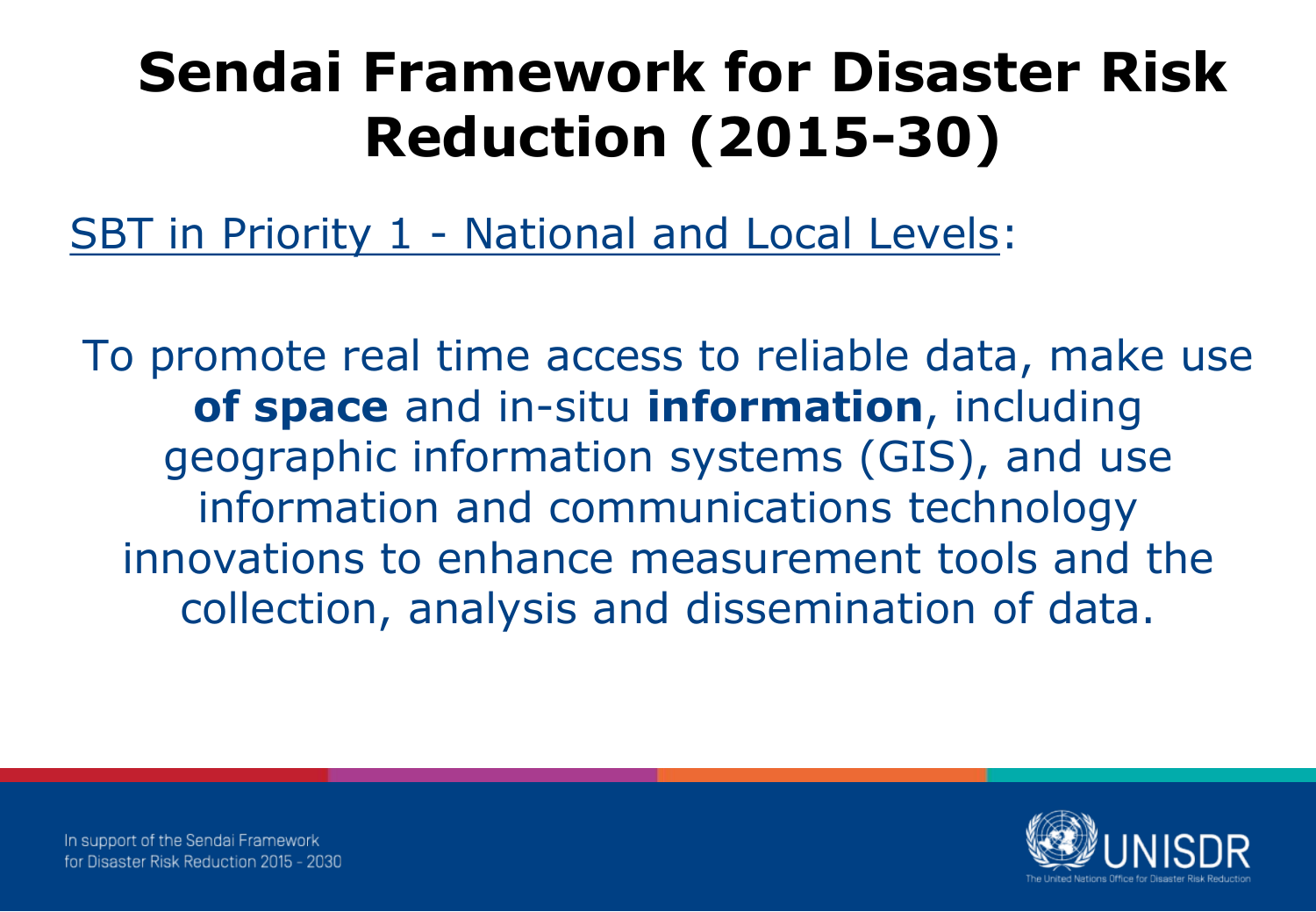SBT in Priority 1 - National and Local Levels:

To promote real time access to reliable data, make use **of space** and in-situ **information**, including geographic information systems (GIS), and use information and communications technology innovations to enhance measurement tools and the collection, analysis and dissemination of data.

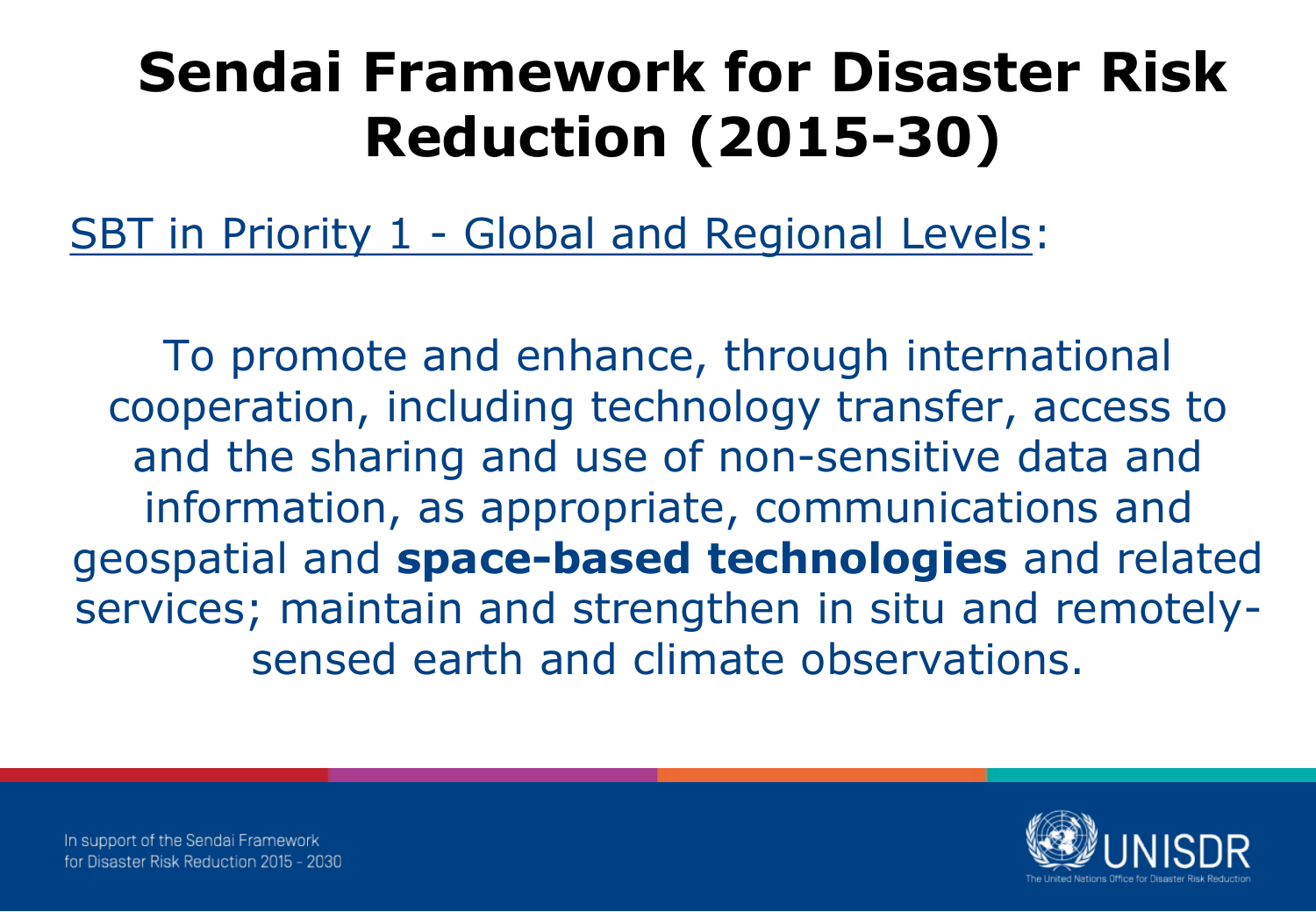SBT in Priority 1 - Global and Regional Levels:

To promote and enhance, through international cooperation, including technology transfer, access to and the sharing and use of non-sensitive data and information, as appropriate, communications and geospatial and **space-based technologies** and related services; maintain and strengthen in situ and remotelysensed earth and climate observations.

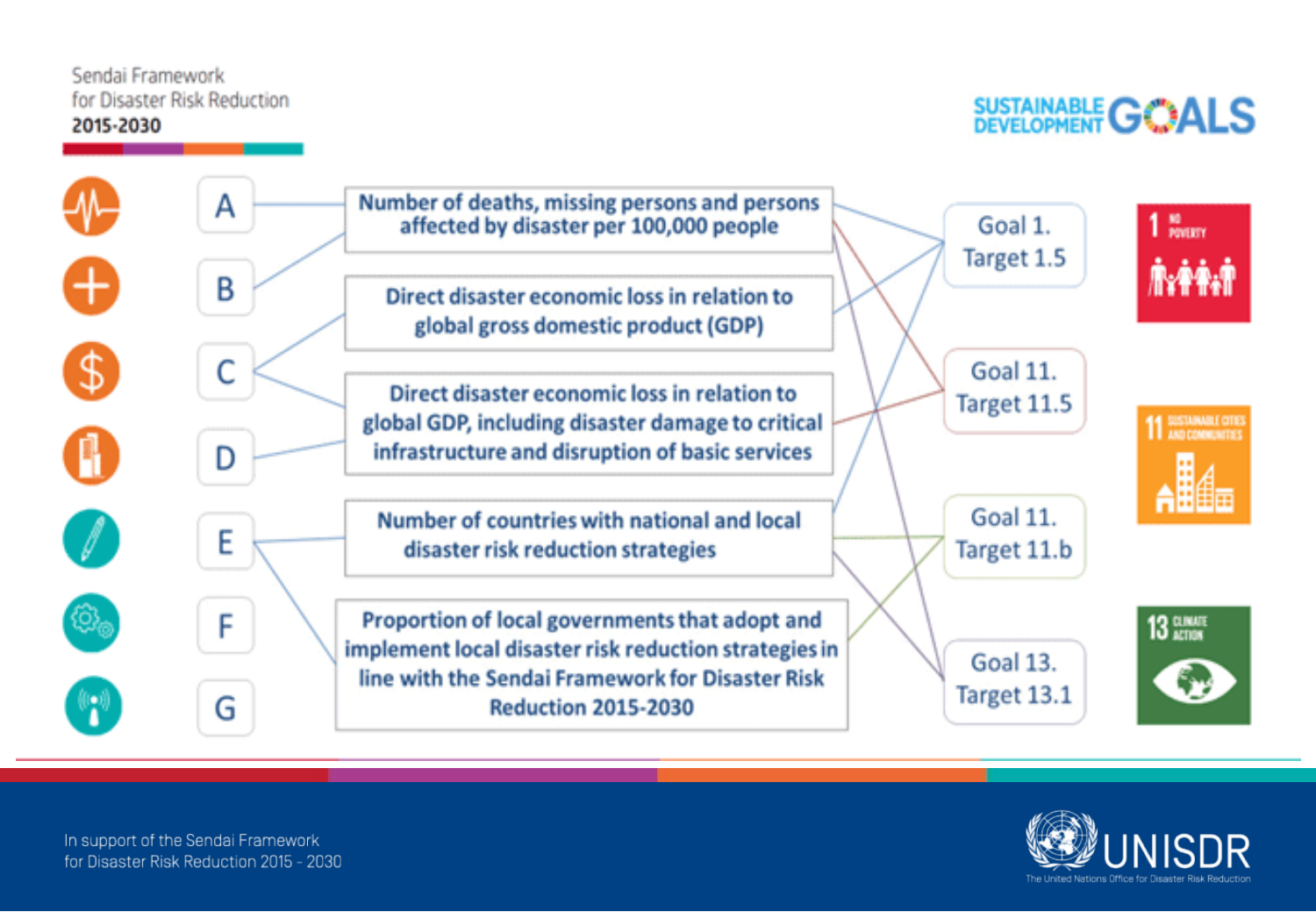### SUSTAINABLE **GOALS**



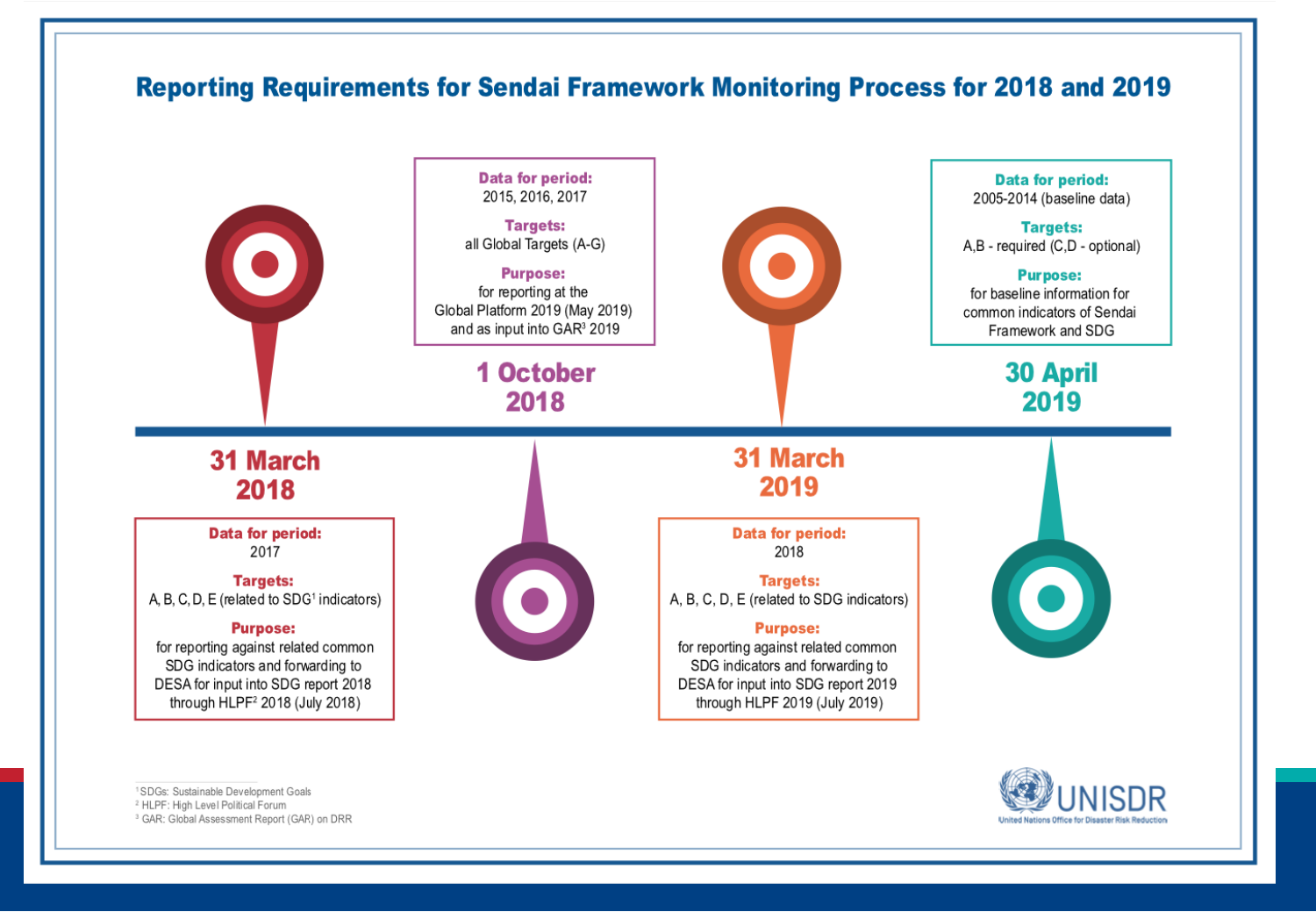#### **Reporting Requirements for Sendai Framework Monitoring Process for 2018 and 2019**



<sup>1</sup>SDGs: Sustainable Development Goals

<sup>2</sup> HLPF: High Level Political Forum

<sup>3</sup> GAR: Global Assessment Report (GAR) on DRR

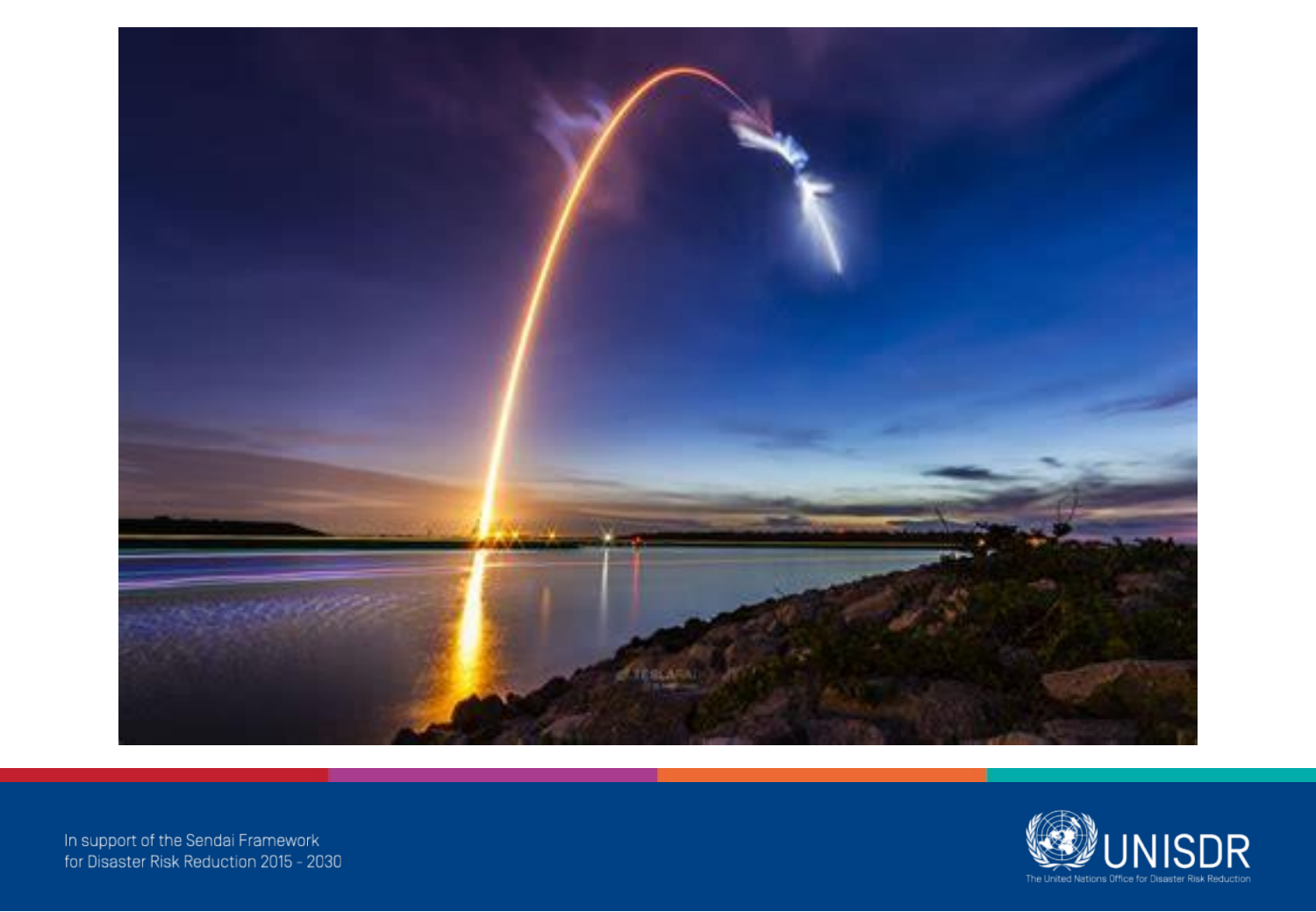



In support of the Sendai Framework<br>for Disaster Risk Reduction 2015 - 2030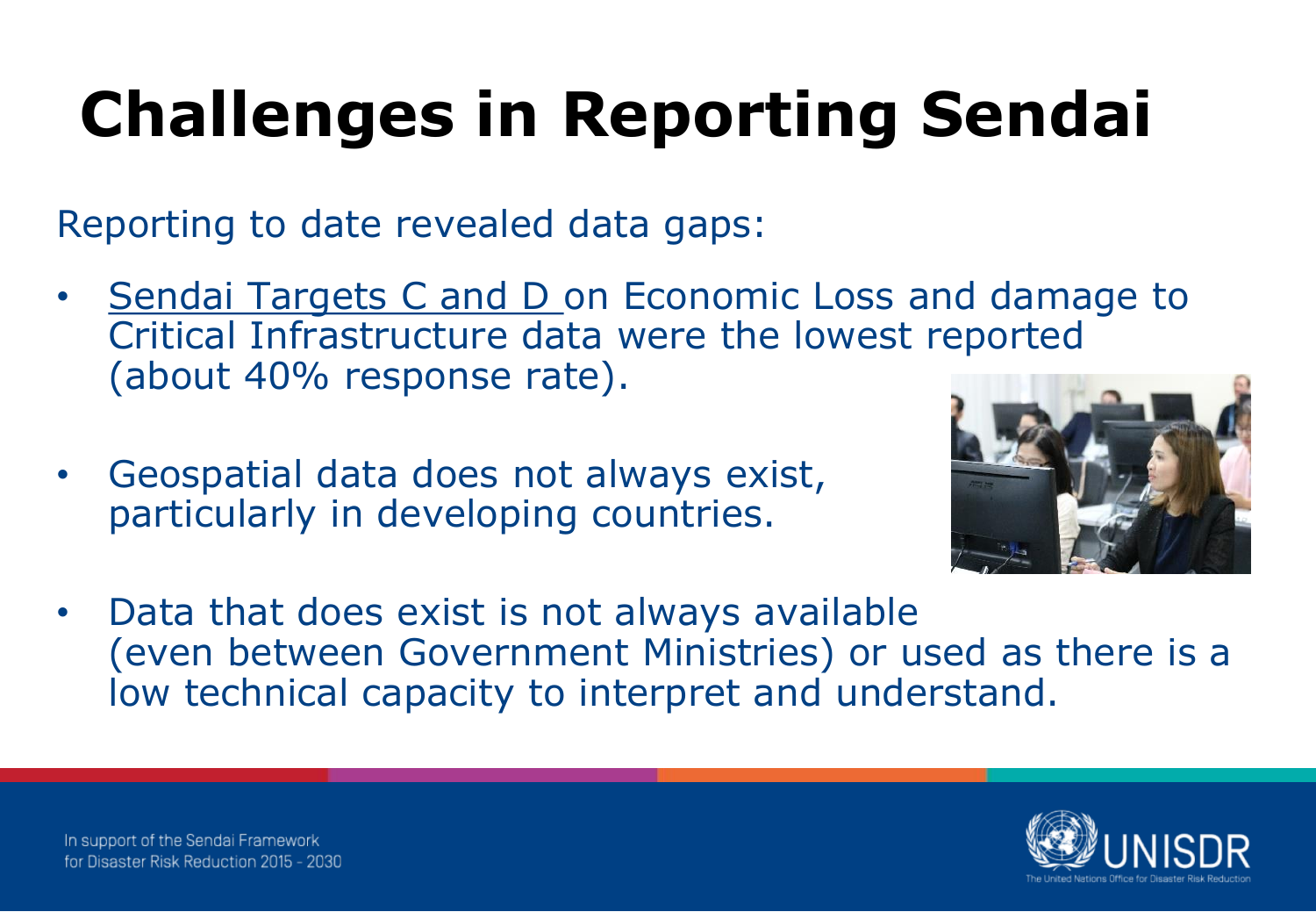# **Challenges in Reporting Sendai**

Reporting to date revealed data gaps:

- Sendai Targets C and D on Economic Loss and damage to Critical Infrastructure data were the lowest reported (about 40% response rate).
- Geospatial data does not always exist, particularly in developing countries.



• Data that does exist is not always available (even between Government Ministries) or used as there is a low technical capacity to interpret and understand.

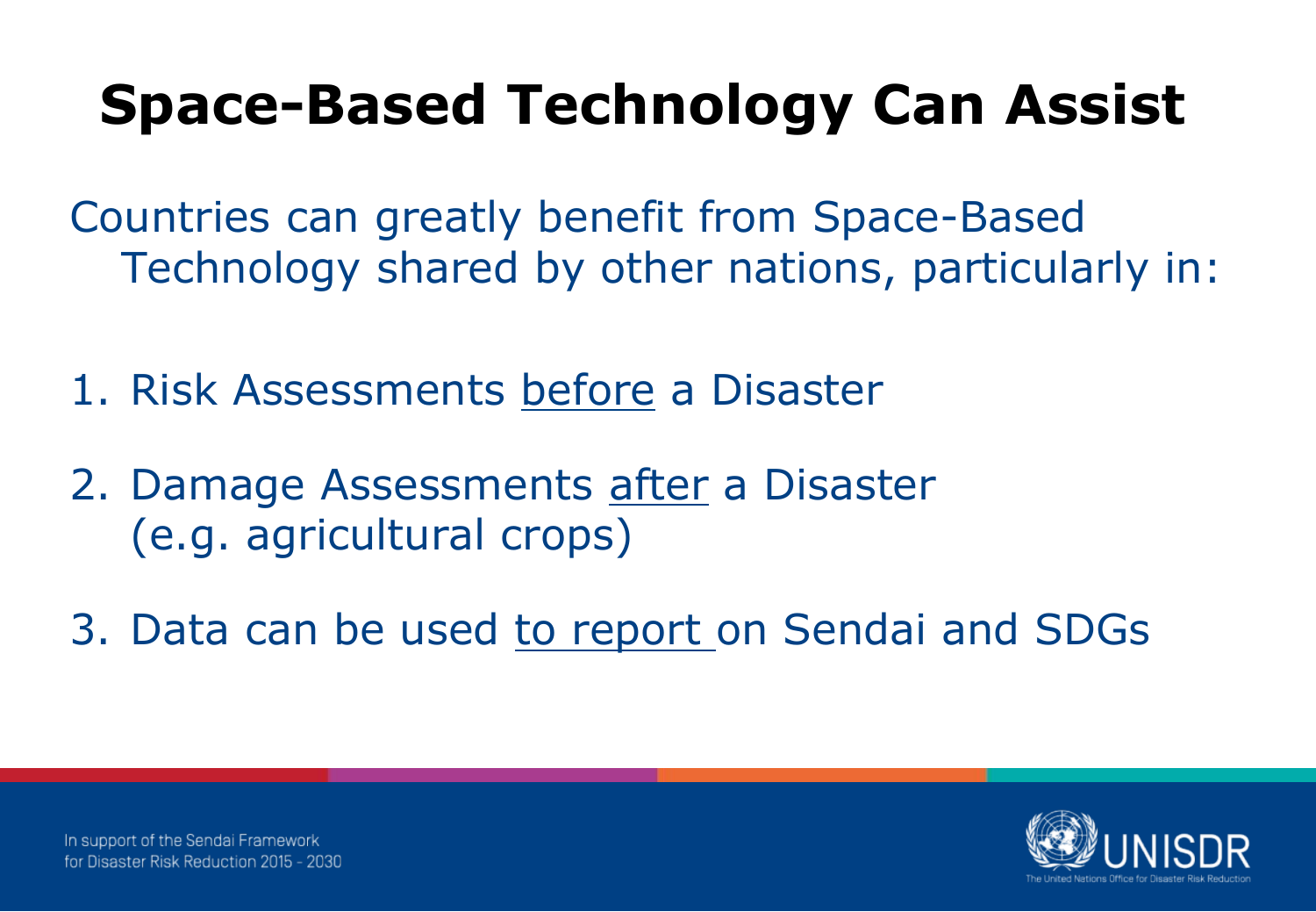### **Space-Based Technology Can Assist**

Countries can greatly benefit from Space-Based Technology shared by other nations, particularly in:

- 1. Risk Assessments before a Disaster
- 2. Damage Assessments after a Disaster (e.g. agricultural crops)
- 3. Data can be used to report on Sendai and SDGs

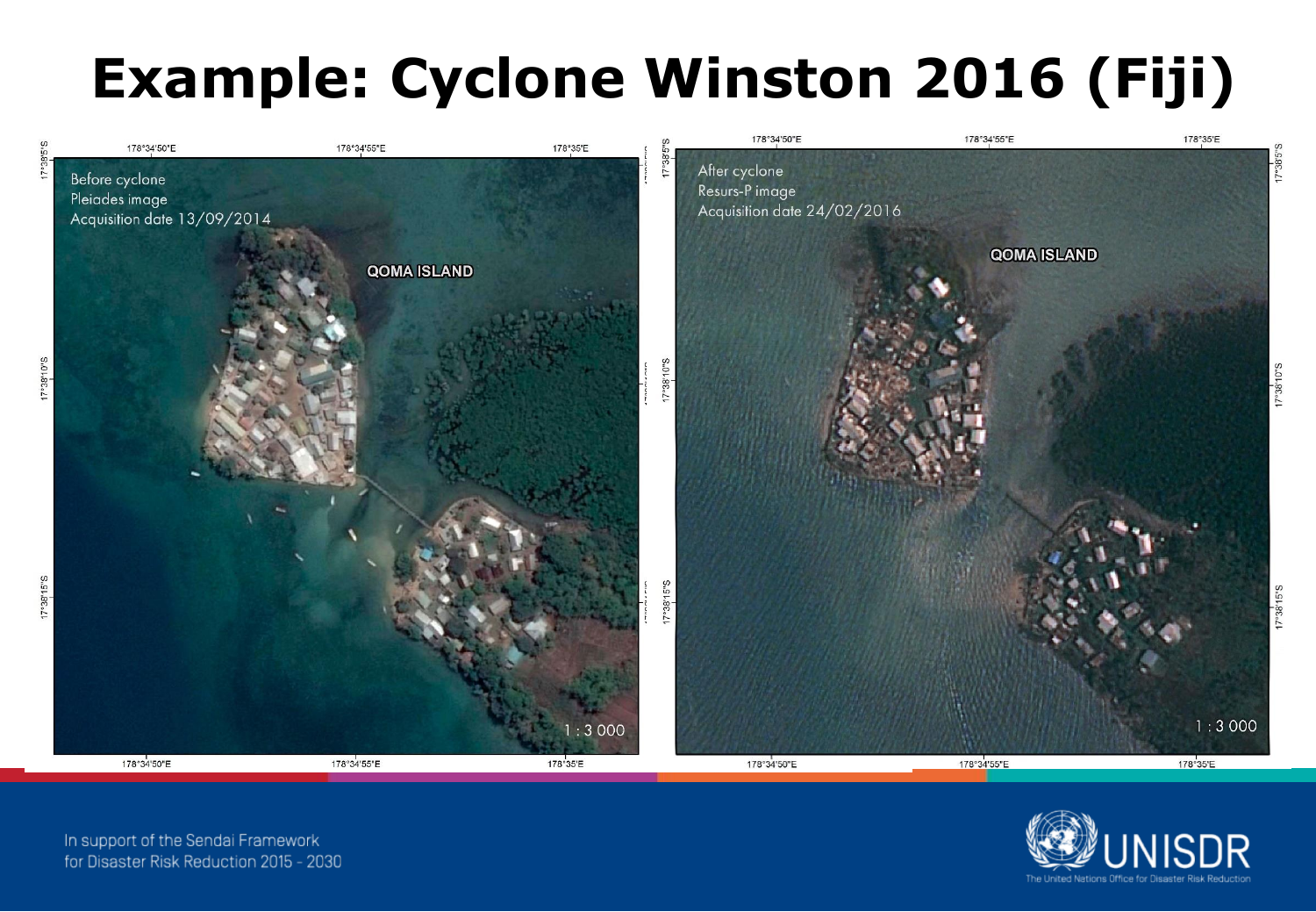## **Example: Cyclone Winston 2016 (Fiji)**



In support of the Sendai Framework for Disaster Risk Reduction 2015 - 2030

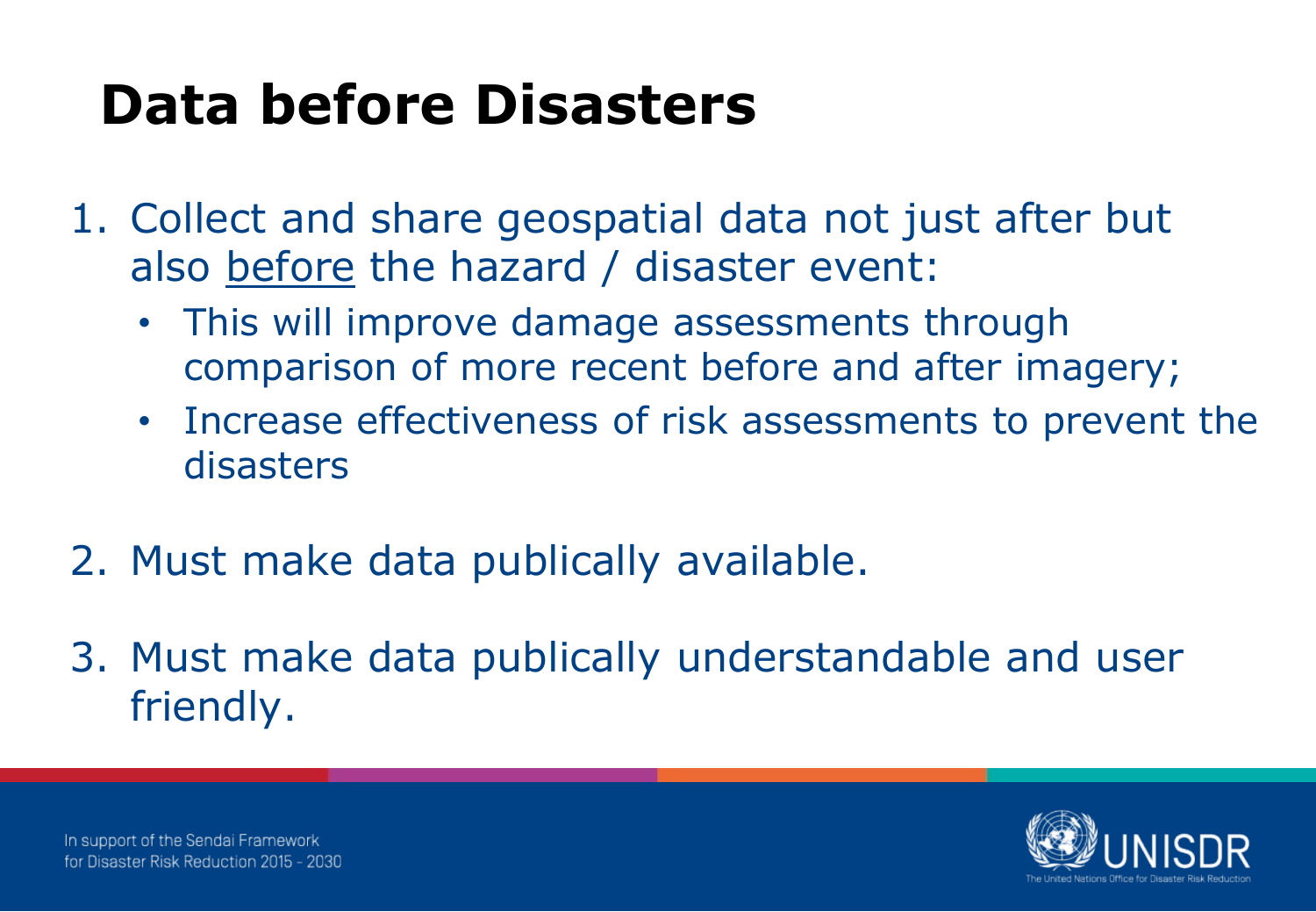### **Data before Disasters**

- 1. Collect and share geospatial data not just after but also before the hazard / disaster event:
	- This will improve damage assessments through comparison of more recent before and after imagery;
	- Increase effectiveness of risk assessments to prevent the disasters
- 2. Must make data publically available.
- 3. Must make data publically understandable and user friendly.

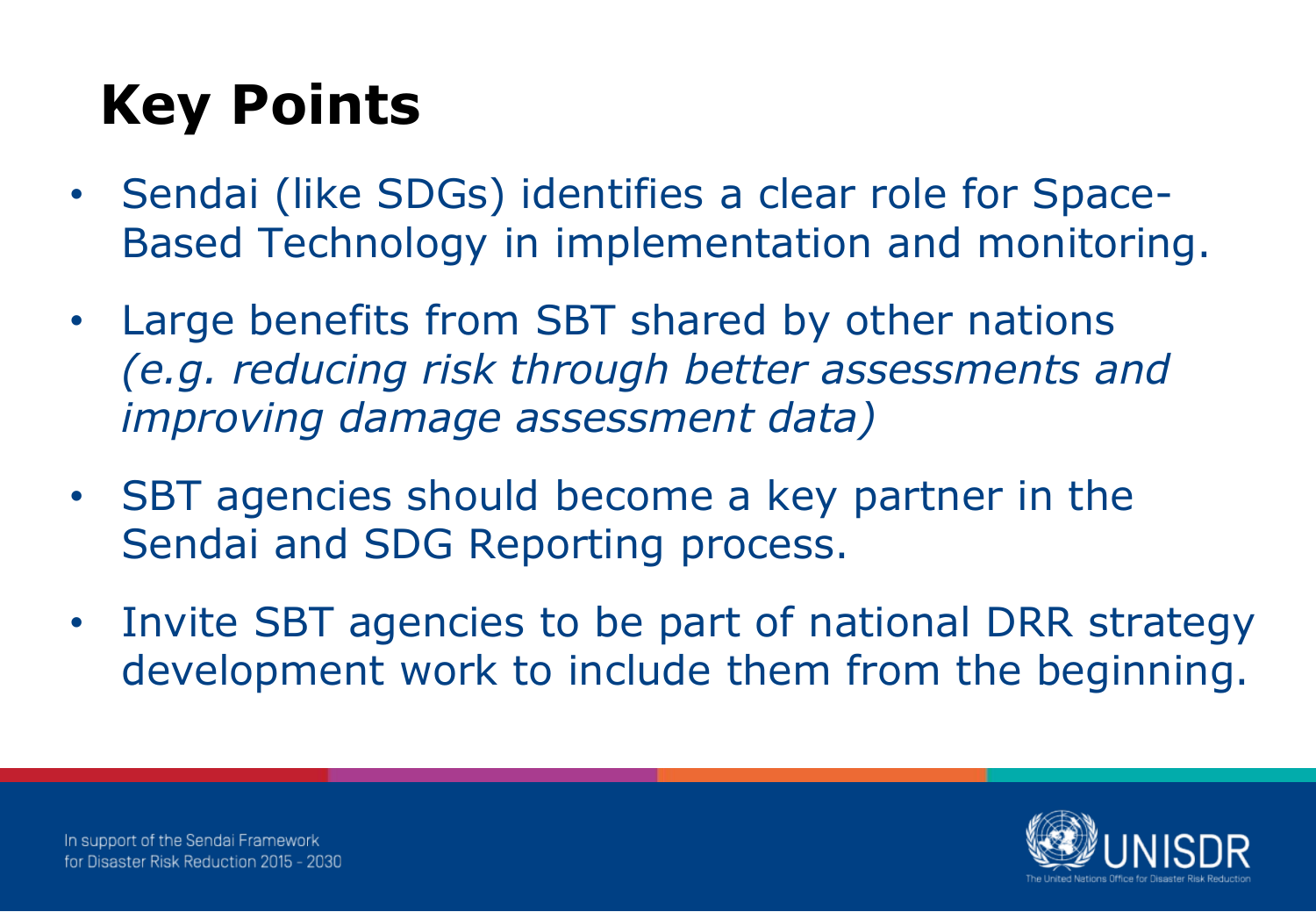## **Key Points**

- Sendai (like SDGs) identifies a clear role for Space-Based Technology in implementation and monitoring.
- Large benefits from SBT shared by other nations *(e.g. reducing risk through better assessments and improving damage assessment data)*
- SBT agencies should become a key partner in the Sendai and SDG Reporting process.
- Invite SBT agencies to be part of national DRR strategy development work to include them from the beginning.